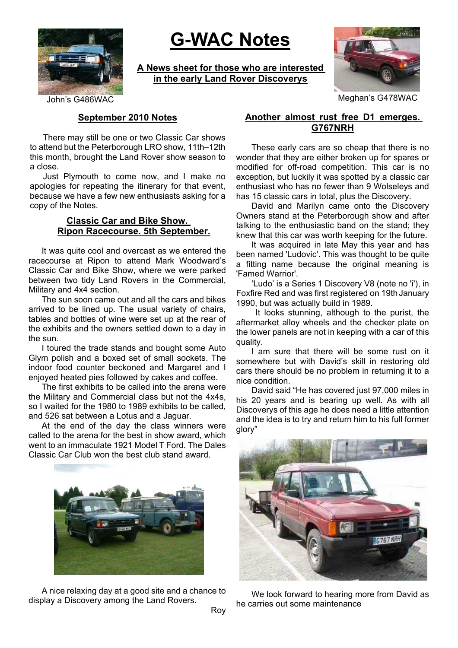

# **G-WAC Notes**

**A News sheet for those who are interested in the early Land Rover Discoverys**



John's G486WAC Meghan's G478WAC

## **September 2010 Notes**

There may still be one or two Classic Car shows to attend but the Peterborough LRO show, 11th–12th this month, brought the Land Rover show season to a close.

Just Plymouth to come now, and I make no apologies for repeating the itinerary for that event, because we have a few new enthusiasts asking for a copy of the Notes.

### **Classic Car and Bike Show. Ripon Racecourse. 5th September.**

It was quite cool and overcast as we entered the racecourse at Ripon to attend Mark Woodward's Classic Car and Bike Show, where we were parked between two tidy Land Rovers in the Commercial, Military and 4x4 section.

The sun soon came out and all the cars and bikes arrived to be lined up. The usual variety of chairs, tables and bottles of wine were set up at the rear of the exhibits and the owners settled down to a day in the sun.

I toured the trade stands and bought some Auto Glym polish and a boxed set of small sockets. The indoor food counter beckoned and Margaret and I enjoyed heated pies followed by cakes and coffee.

The first exhibits to be called into the arena were the Military and Commercial class but not the 4x4s, so I waited for the 1980 to 1989 exhibits to be called, and 526 sat between a Lotus and a Jaguar.

At the end of the day the class winners were called to the arena for the best in show award, which went to an immaculate 1921 Model T Ford. The Dales Classic Car Club won the best club stand award.



A nice relaxing day at a good site and a chance to display a Discovery among the Land Rovers.

## **Another almost rust free D1 emerges. G767NRH**

These early cars are so cheap that there is no wonder that they are either broken up for spares or modified for off-road competition. This car is no exception, but luckily it was spotted by a classic car enthusiast who has no fewer than 9 Wolseleys and has 15 classic cars in total, plus the Discovery.

David and Marilyn came onto the Discovery Owners stand at the Peterborough show and after talking to the enthusiastic band on the stand; they knew that this car was worth keeping for the future.

It was acquired in late May this year and has been named 'Ludovic'. This was thought to be quite a fitting name because the original meaning is 'Famed Warrior'.

'Ludo' is a Series 1 Discovery V8 (note no 'i'), in Foxfire Red and was first registered on 19th January 1990, but was actually build in 1989.

It looks stunning, although to the purist, the aftermarket alloy wheels and the checker plate on the lower panels are not in keeping with a car of this quality.

I am sure that there will be some rust on it somewhere but with David's skill in restoring old cars there should be no problem in returning it to a nice condition.

David said "He has covered just 97,000 miles in his 20 years and is bearing up well. As with all Discoverys of this age he does need a little attention and the idea is to try and return him to his full former glory"



We look forward to hearing more from David as he carries out some maintenance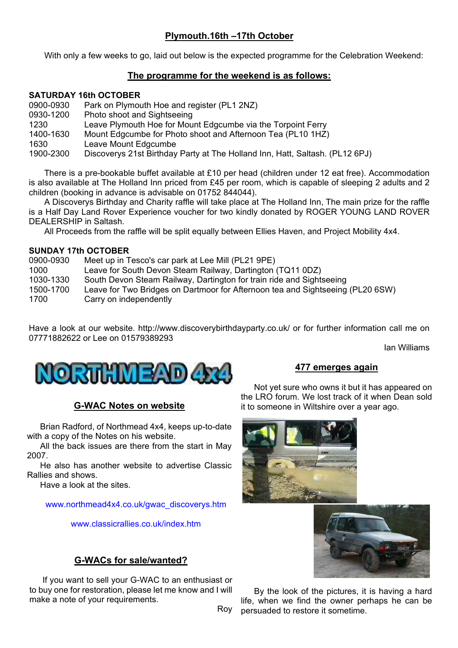# **Plymouth.16th –17th October**

With only a few weeks to go, laid out below is the expected programme for the Celebration Weekend:

## **The programme for the weekend is as follows:**

### **SATURDAY 16th OCTOBER**

| 0900-0930 | Park on Plymouth Hoe and register (PL1 2NZ)                                  |
|-----------|------------------------------------------------------------------------------|
| 0930-1200 | Photo shoot and Sightseeing                                                  |
| 1230      | Leave Plymouth Hoe for Mount Edgcumbe via the Torpoint Ferry                 |
| 1400-1630 | Mount Edgcumbe for Photo shoot and Afternoon Tea (PL10 1HZ)                  |
| 1630      | Leave Mount Edgcumbe                                                         |
| 1900-2300 | Discoverys 21st Birthday Party at The Holland Inn, Hatt, Saltash. (PL12 6PJ) |

There is a pre-bookable buffet available at £10 per head (children under 12 eat free). Accommodation is also available at The Holland Inn priced from £45 per room, which is capable of sleeping 2 adults and 2 children (booking in advance is advisable on 01752 844044).

A Discoverys Birthday and Charity raffle will take place at The Holland Inn, The main prize for the raffle is a Half Day Land Rover Experience voucher for two kindly donated by ROGER YOUNG LAND ROVER DEALERSHIP in Saltash.

All Proceeds from the raffle will be split equally between Ellies Haven, and Project Mobility 4x4.

### **SUNDAY 17th OCTOBER**

| 0900-0930         | Meet up in Tesco's car park at Lee Mill (PL21 9PE)                                                       |
|-------------------|----------------------------------------------------------------------------------------------------------|
| 1000              | Leave for South Devon Steam Railway, Dartington (TQ11 0DZ)                                               |
| 1030-1330         | South Devon Steam Railway, Dartington for train ride and Sightseeing                                     |
| 1500-1700<br>1700 | Leave for Two Bridges on Dartmoor for Afternoon tea and Sightseeing (PL20 6SW)<br>Carry on independently |

Have a look at our website. http://www.discoverybirthdayparty.co.uk/ or for further information call me on 07771882622 or Lee on 01579389293

Ian Williams



## **G-WAC Notes on website**

Brian Radford, of Northmead 4x4, keeps up-to-date with a copy of the Notes on his website.

All the back issues are there from the start in May 2007.

He also has another website to advertise Classic Rallies and shows.

Have a look at the sites.

www.northmead4x4.co.uk/gwac\_discoverys.htm

www.classicrallies.co.uk/index.htm

## **G-WACs for sale/wanted?**

If you want to sell your G-WAC to an enthusiast or to buy one for restoration, please let me know and I will make a note of your requirements.

Roy

# **477 emerges again**

Not yet sure who owns it but it has appeared on the LRO forum. We lost track of it when Dean sold it to someone in Wiltshire over a year ago.





By the look of the pictures, it is having a hard life, when we find the owner perhaps he can be persuaded to restore it sometime.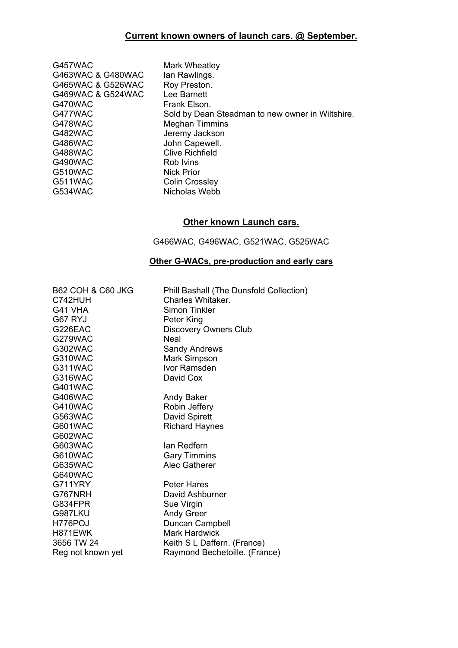# **Current known owners of launch cars. @ September.**

| G457WAC           | Mark Wheatley                                    |
|-------------------|--------------------------------------------------|
| G463WAC & G480WAC | lan Rawlings.                                    |
| G465WAC & G526WAC | Roy Preston.                                     |
| G469WAC & G524WAC | Lee Barnett                                      |
| G470WAC           | Frank Elson.                                     |
| G477WAC           | Sold by Dean Steadman to new owner in Wiltshire. |
| G478WAC           | Meghan Timmins                                   |
| G482WAC           | Jeremy Jackson                                   |
| G486WAC           | John Capewell.                                   |
| G488WAC           | <b>Clive Richfield</b>                           |
| G490WAC           | Rob Ivins                                        |
| G510WAC           | Nick Prior                                       |
| G511WAC           | Colin Crossley                                   |
| G534WAC           | Nicholas Webb                                    |

# **Other known Launch cars.**

G466WAC, G496WAC, G521WAC, G525WAC

# **Other G-WACs, pre-production and early cars**

| <b>B62 COH &amp; C60 JKG</b> | Phill Bashall (The Dunsfold Collection) |
|------------------------------|-----------------------------------------|
| C742HUH                      | Charles Whitaker.                       |
| G41 VHA                      | Simon Tinkler                           |
| G67 RYJ                      | Peter King                              |
| G226EAC                      | <b>Discovery Owners Club</b>            |
| G279WAC                      | Neal                                    |
| G302WAC                      | <b>Sandy Andrews</b>                    |
| G310WAC                      | Mark Simpson                            |
| G311WAC                      | Ivor Ramsden                            |
| G316WAC                      | David Cox                               |
| <b>G401WAC</b>               |                                         |
| G406WAC                      | Andy Baker                              |
| G410WAC                      | Robin Jeffery                           |
| G563WAC                      | David Spirett                           |
| G601WAC                      | <b>Richard Haynes</b>                   |
| G602WAC                      |                                         |
| G603WAC                      | lan Redfern                             |
| G610WAC                      | <b>Gary Timmins</b>                     |
| G635WAC                      | <b>Alec Gatherer</b>                    |
| G640WAC                      |                                         |
| G711YRY                      | <b>Peter Hares</b>                      |
| G767NRH                      | David Ashburner                         |
| G834FPR                      | Sue Virgin                              |
| G987LKU                      | <b>Andy Greer</b>                       |
| H776POJ                      | Duncan Campbell                         |
| H871EWK                      | <b>Mark Hardwick</b>                    |
| 3656 TW 24                   | Keith S L Daffern. (France)             |
| Reg not known yet            | Raymond Bechetoille. (France)           |